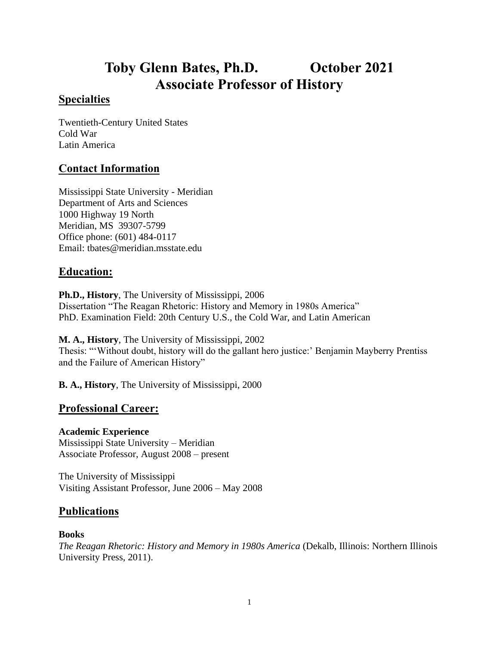# **Toby Glenn Bates, Ph.D. October 2021 Associate Professor of History**

# **Specialties**

Twentieth-Century United States Cold War Latin America

# **Contact Information**

Mississippi State University - Meridian Department of Arts and Sciences 1000 Highway 19 North Meridian, MS 39307-5799 Office phone: (601) 484-0117 Email: tbates@meridian.msstate.edu

# **Education:**

**Ph.D., History**, The University of Mississippi, 2006 Dissertation "The Reagan Rhetoric: History and Memory in 1980s America" PhD. Examination Field: 20th Century U.S., the Cold War, and Latin American

**M. A., History**, The University of Mississippi, 2002 Thesis: "'Without doubt, history will do the gallant hero justice:' Benjamin Mayberry Prentiss and the Failure of American History"

**B. A., History**, The University of Mississippi, 2000

# **Professional Career:**

## **Academic Experience**

Mississippi State University – Meridian Associate Professor, August 2008 – present

The University of Mississippi Visiting Assistant Professor, June 2006 – May 2008

# **Publications**

#### **Books**

*The Reagan Rhetoric: History and Memory in 1980s America* (Dekalb, Illinois: Northern Illinois University Press, 2011).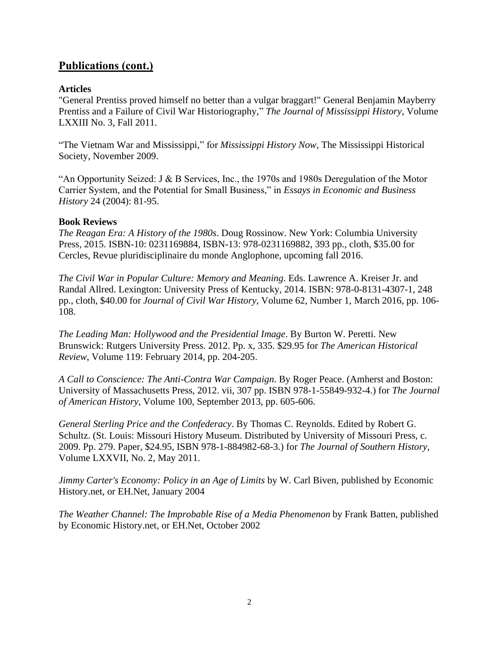# **Publications (cont.)**

### **Articles**

"General Prentiss proved himself no better than a vulgar braggart!" General Benjamin Mayberry Prentiss and a Failure of Civil War Historiography," *The Journal of Mississippi History*, Volume LXXIII No. 3, Fall 2011.

"The Vietnam War and Mississippi," for *Mississippi History Now*, The Mississippi Historical Society, November 2009.

"An Opportunity Seized: J & B Services, Inc., the 1970s and 1980s Deregulation of the Motor Carrier System, and the Potential for Small Business," in *Essays in Economic and Business History* 24 (2004): 81-95.

#### **Book Reviews**

*The Reagan Era: A History of the 1980s*. Doug Rossinow. New York: Columbia University Press, 2015. ISBN-10: 0231169884, ISBN-13: 978-0231169882, 393 pp., cloth, \$35.00 for Cercles, Revue pluridisciplinaire du monde Anglophone, upcoming fall 2016.

*The Civil War in Popular Culture: Memory and Meaning*. Eds. Lawrence A. Kreiser Jr. and Randal Allred. Lexington: University Press of Kentucky, 2014. ISBN: 978-0-8131-4307-1, 248 pp., cloth, \$40.00 for *Journal of Civil War History*, Volume 62, Number 1, March 2016, pp. 106- 108.

*The Leading Man: Hollywood and the Presidential Image*. By Burton W. Peretti. New Brunswick: Rutgers University Press. 2012. Pp. x, 335. \$29.95 for *The American Historical Review*, Volume 119: February 2014, pp. 204-205.

*A Call to Conscience: The Anti-Contra War Campaign*. By Roger Peace. (Amherst and Boston: University of Massachusetts Press, 2012. vii, 307 pp. ISBN 978-1-55849-932-4.) for *The Journal of American History*, Volume 100, September 2013, pp. 605-606.

*General Sterling Price and the Confederacy*. By Thomas C. Reynolds. Edited by Robert G. Schultz. (St. Louis: Missouri History Museum. Distributed by University of Missouri Press, c. 2009. Pp. 279. Paper, \$24.95, ISBN 978-1-884982-68-3.) for *The Journal of Southern History*, Volume LXXVII, No. 2, May 2011.

*Jimmy Carter's Economy: Policy in an Age of Limits* by W. Carl Biven, published by Economic History.net, or EH.Net, January 2004

*The Weather Channel: The Improbable Rise of a Media Phenomenon* by Frank Batten, published by Economic History.net, or EH.Net, October 2002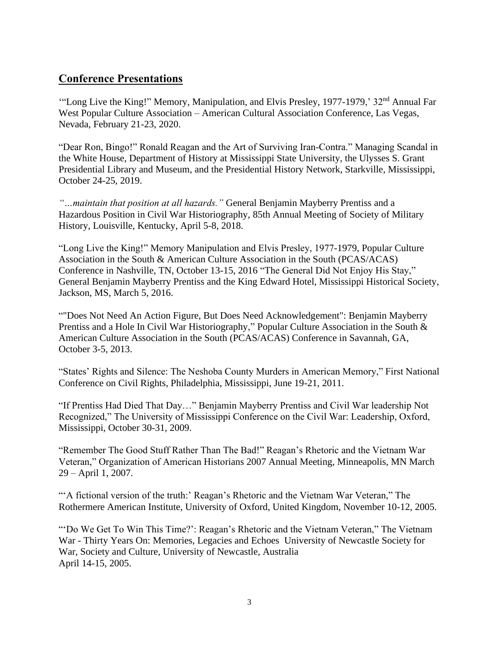# **Conference Presentations**

"Long Live the King!" Memory, Manipulation, and Elvis Presley, 1977-1979,' 32<sup>nd</sup> Annual Far West Popular Culture Association – American Cultural Association Conference, Las Vegas, Nevada, February 21-23, 2020.

"Dear Ron, Bingo!" Ronald Reagan and the Art of Surviving Iran-Contra." Managing Scandal in the White House, Department of History at Mississippi State University, the Ulysses S. Grant Presidential Library and Museum, and the Presidential History Network, Starkville, Mississippi, October 24-25, 2019.

*"…maintain that position at all hazards."* General Benjamin Mayberry Prentiss and a Hazardous Position in Civil War Historiography, 85th Annual Meeting of Society of Military History, Louisville, Kentucky, April 5-8, 2018.

"Long Live the King!" Memory Manipulation and Elvis Presley, 1977-1979, Popular Culture Association in the South & American Culture Association in the South (PCAS/ACAS) Conference in Nashville, TN, October 13-15, 2016 "The General Did Not Enjoy His Stay," General Benjamin Mayberry Prentiss and the King Edward Hotel, Mississippi Historical Society, Jackson, MS, March 5, 2016.

""Does Not Need An Action Figure, But Does Need Acknowledgement": Benjamin Mayberry Prentiss and a Hole In Civil War Historiography," Popular Culture Association in the South & American Culture Association in the South (PCAS/ACAS) Conference in Savannah, GA, October 3-5, 2013.

"States' Rights and Silence: The Neshoba County Murders in American Memory," First National Conference on Civil Rights, Philadelphia, Mississippi, June 19-21, 2011.

"If Prentiss Had Died That Day…" Benjamin Mayberry Prentiss and Civil War leadership Not Recognized," The University of Mississippi Conference on the Civil War: Leadership, Oxford, Mississippi, October 30-31, 2009.

"Remember The Good Stuff Rather Than The Bad!" Reagan's Rhetoric and the Vietnam War Veteran," Organization of American Historians 2007 Annual Meeting, Minneapolis, MN March 29 – April 1, 2007.

""A fictional version of the truth:' Reagan's Rhetoric and the Vietnam War Veteran," The Rothermere American Institute, University of Oxford, United Kingdom, November 10-12, 2005.

"'Do We Get To Win This Time?': Reagan's Rhetoric and the Vietnam Veteran," The Vietnam War - Thirty Years On: Memories, Legacies and Echoes University of Newcastle Society for War, Society and Culture, University of Newcastle, Australia April 14-15, 2005.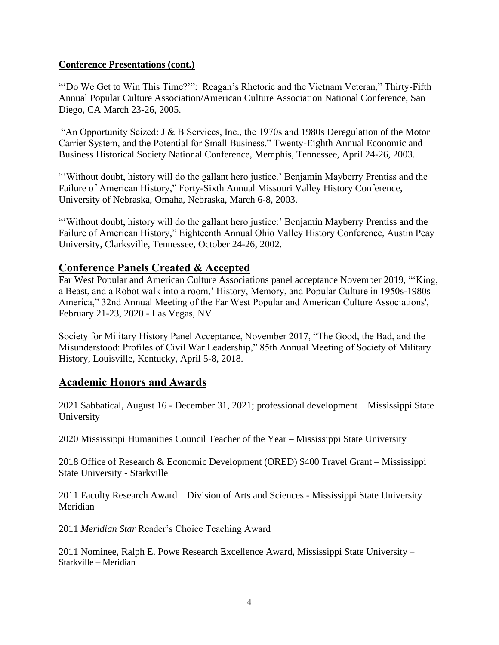#### **Conference Presentations (cont.)**

"'Do We Get to Win This Time?'": Reagan's Rhetoric and the Vietnam Veteran," Thirty-Fifth Annual Popular Culture Association/American Culture Association National Conference, San Diego, CA March 23-26, 2005.

"An Opportunity Seized: J & B Services, Inc., the 1970s and 1980s Deregulation of the Motor Carrier System, and the Potential for Small Business," Twenty-Eighth Annual Economic and Business Historical Society National Conference, Memphis, Tennessee, April 24-26, 2003.

"Without doubt, history will do the gallant hero justice.' Benjamin Mayberry Prentiss and the Failure of American History," Forty-Sixth Annual Missouri Valley History Conference, University of Nebraska, Omaha, Nebraska, March 6-8, 2003.

"'Without doubt, history will do the gallant hero justice:' Benjamin Mayberry Prentiss and the Failure of American History," Eighteenth Annual Ohio Valley History Conference, Austin Peay University, Clarksville, Tennessee, October 24-26, 2002.

## **Conference Panels Created & Accepted**

Far West Popular and American Culture Associations panel acceptance November 2019, "'King, a Beast, and a Robot walk into a room,' History, Memory, and Popular Culture in 1950s-1980s America," 32nd Annual Meeting of the Far West Popular and American Culture Associations', February 21-23, 2020 - Las Vegas, NV.

Society for Military History Panel Acceptance, November 2017, "The Good, the Bad, and the Misunderstood: Profiles of Civil War Leadership," 85th Annual Meeting of Society of Military History, Louisville, Kentucky, April 5-8, 2018.

## **Academic Honors and Awards**

2021 Sabbatical, August 16 - December 31, 2021; professional development – Mississippi State University

2020 Mississippi Humanities Council Teacher of the Year – Mississippi State University

2018 Office of Research & Economic Development (ORED) \$400 Travel Grant – Mississippi State University - Starkville

2011 Faculty Research Award – Division of Arts and Sciences - Mississippi State University – Meridian

2011 *Meridian Star* Reader's Choice Teaching Award

2011 Nominee, Ralph E. Powe Research Excellence Award, Mississippi State University – Starkville – Meridian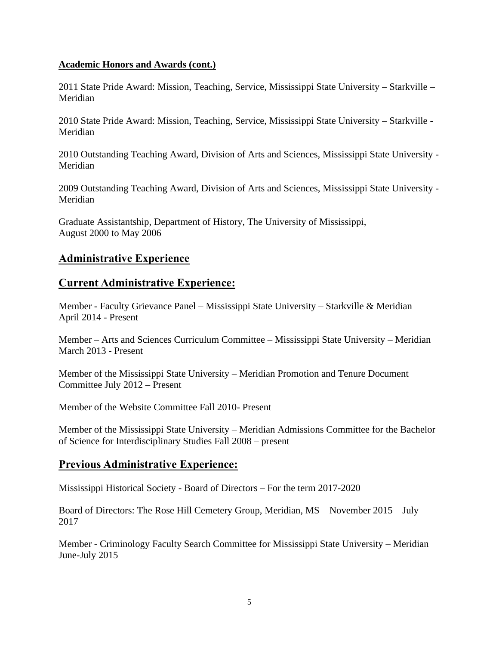#### **Academic Honors and Awards (cont.)**

2011 State Pride Award: Mission, Teaching, Service, Mississippi State University – Starkville – Meridian

2010 State Pride Award: Mission, Teaching, Service, Mississippi State University – Starkville - Meridian

2010 Outstanding Teaching Award, Division of Arts and Sciences, Mississippi State University - Meridian

2009 Outstanding Teaching Award, Division of Arts and Sciences, Mississippi State University - Meridian

Graduate Assistantship, Department of History, The University of Mississippi, August 2000 to May 2006

## **Administrative Experience**

#### **Current Administrative Experience:**

Member - Faculty Grievance Panel – Mississippi State University – Starkville & Meridian April 2014 - Present

Member – Arts and Sciences Curriculum Committee – Mississippi State University – Meridian March 2013 - Present

Member of the Mississippi State University – Meridian Promotion and Tenure Document Committee July 2012 – Present

Member of the Website Committee Fall 2010- Present

Member of the Mississippi State University – Meridian Admissions Committee for the Bachelor of Science for Interdisciplinary Studies Fall 2008 – present

## **Previous Administrative Experience:**

Mississippi Historical Society - Board of Directors – For the term 2017-2020

Board of Directors: The Rose Hill Cemetery Group, Meridian, MS – November 2015 – July 2017

Member - Criminology Faculty Search Committee for Mississippi State University – Meridian June-July 2015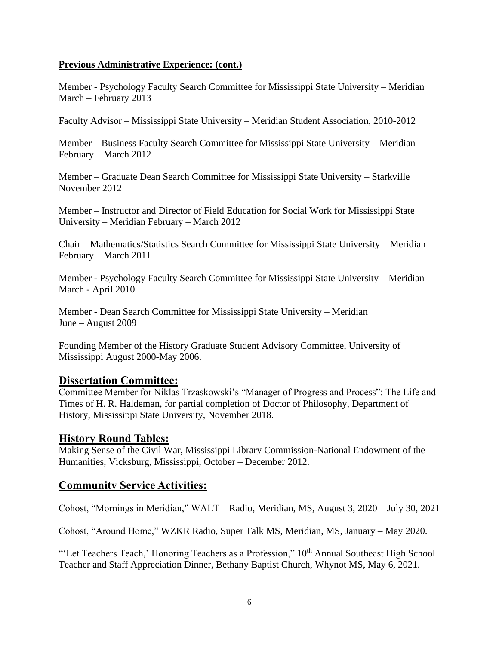#### **Previous Administrative Experience: (cont.)**

Member - Psychology Faculty Search Committee for Mississippi State University – Meridian March – February 2013

Faculty Advisor – Mississippi State University – Meridian Student Association, 2010-2012

Member – Business Faculty Search Committee for Mississippi State University – Meridian February – March 2012

Member – Graduate Dean Search Committee for Mississippi State University – Starkville November 2012

Member – Instructor and Director of Field Education for Social Work for Mississippi State University – Meridian February – March 2012

Chair – Mathematics/Statistics Search Committee for Mississippi State University – Meridian February – March 2011

Member - Psychology Faculty Search Committee for Mississippi State University – Meridian March - April 2010

Member - Dean Search Committee for Mississippi State University – Meridian June – August 2009

Founding Member of the History Graduate Student Advisory Committee, University of Mississippi August 2000-May 2006.

## **Dissertation Committee:**

Committee Member for Niklas Trzaskowski's "Manager of Progress and Process": The Life and Times of H. R. Haldeman, for partial completion of Doctor of Philosophy, Department of History, Mississippi State University, November 2018.

## **History Round Tables:**

Making Sense of the Civil War, Mississippi Library Commission-National Endowment of the Humanities, Vicksburg, Mississippi, October – December 2012.

## **Community Service Activities:**

Cohost, "Mornings in Meridian," WALT – Radio, Meridian, MS, August 3, 2020 – July 30, 2021

Cohost, "Around Home," WZKR Radio, Super Talk MS, Meridian, MS, January – May 2020.

"'Let Teachers Teach,' Honoring Teachers as a Profession," 10<sup>th</sup> Annual Southeast High School Teacher and Staff Appreciation Dinner, Bethany Baptist Church, Whynot MS, May 6, 2021.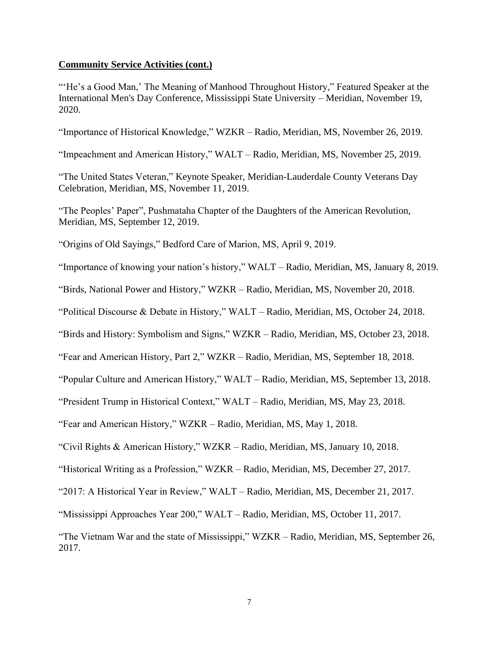"'He's a Good Man,' The Meaning of Manhood Throughout History," Featured Speaker at the International Men's Day Conference, Mississippi State University – Meridian, November 19, 2020.

"Importance of Historical Knowledge," WZKR – Radio, Meridian, MS, November 26, 2019.

"Impeachment and American History," WALT – Radio, Meridian, MS, November 25, 2019.

"The United States Veteran," Keynote Speaker, Meridian-Lauderdale County Veterans Day Celebration, Meridian, MS, November 11, 2019.

"The Peoples' Paper", Pushmataha Chapter of the Daughters of the American Revolution, Meridian, MS, September 12, 2019.

"Origins of Old Sayings," Bedford Care of Marion, MS, April 9, 2019.

"Importance of knowing your nation's history," WALT – Radio, Meridian, MS, January 8, 2019.

"Birds, National Power and History," WZKR – Radio, Meridian, MS, November 20, 2018.

"Political Discourse & Debate in History," WALT – Radio, Meridian, MS, October 24, 2018.

"Birds and History: Symbolism and Signs," WZKR – Radio, Meridian, MS, October 23, 2018.

"Fear and American History, Part 2," WZKR – Radio, Meridian, MS, September 18, 2018.

"Popular Culture and American History," WALT – Radio, Meridian, MS, September 13, 2018.

"President Trump in Historical Context," WALT – Radio, Meridian, MS, May 23, 2018.

"Fear and American History," WZKR – Radio, Meridian, MS, May 1, 2018.

"Civil Rights & American History," WZKR – Radio, Meridian, MS, January 10, 2018.

"Historical Writing as a Profession," WZKR – Radio, Meridian, MS, December 27, 2017.

"2017: A Historical Year in Review," WALT – Radio, Meridian, MS, December 21, 2017.

"Mississippi Approaches Year 200," WALT – Radio, Meridian, MS, October 11, 2017.

"The Vietnam War and the state of Mississippi," WZKR – Radio, Meridian, MS, September 26, 2017.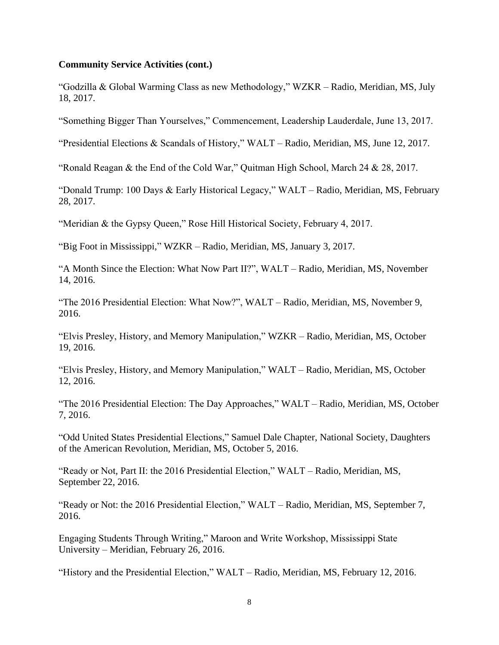"Godzilla & Global Warming Class as new Methodology," WZKR – Radio, Meridian, MS, July 18, 2017.

"Something Bigger Than Yourselves," Commencement, Leadership Lauderdale, June 13, 2017.

"Presidential Elections & Scandals of History," WALT – Radio, Meridian, MS, June 12, 2017.

"Ronald Reagan & the End of the Cold War," Quitman High School, March 24 & 28, 2017.

"Donald Trump: 100 Days & Early Historical Legacy," WALT – Radio, Meridian, MS, February 28, 2017.

"Meridian & the Gypsy Queen," Rose Hill Historical Society, February 4, 2017.

"Big Foot in Mississippi," WZKR – Radio, Meridian, MS, January 3, 2017.

"A Month Since the Election: What Now Part II?", WALT – Radio, Meridian, MS, November 14, 2016.

"The 2016 Presidential Election: What Now?", WALT – Radio, Meridian, MS, November 9, 2016.

"Elvis Presley, History, and Memory Manipulation," WZKR – Radio, Meridian, MS, October 19, 2016.

"Elvis Presley, History, and Memory Manipulation," WALT – Radio, Meridian, MS, October 12, 2016.

"The 2016 Presidential Election: The Day Approaches," WALT – Radio, Meridian, MS, October 7, 2016.

"Odd United States Presidential Elections," Samuel Dale Chapter, National Society, Daughters of the American Revolution, Meridian, MS, October 5, 2016.

"Ready or Not, Part II: the 2016 Presidential Election," WALT – Radio, Meridian, MS, September 22, 2016.

"Ready or Not: the 2016 Presidential Election," WALT – Radio, Meridian, MS, September 7, 2016.

Engaging Students Through Writing," Maroon and Write Workshop, Mississippi State University – Meridian, February 26, 2016.

"History and the Presidential Election," WALT – Radio, Meridian, MS, February 12, 2016.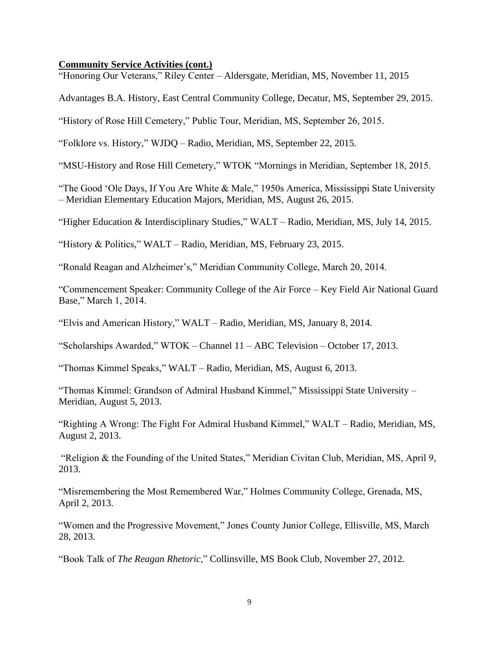"Honoring Our Veterans," Riley Center – Aldersgate, Meridian, MS, November 11, 2015

Advantages B.A. History, East Central Community College, Decatur, MS, September 29, 2015.

"History of Rose Hill Cemetery," Public Tour, Meridian, MS, September 26, 2015.

"Folklore vs. History," WJDQ – Radio, Meridian, MS, September 22, 2015.

"MSU-History and Rose Hill Cemetery," WTOK "Mornings in Meridian, September 18, 2015.

"The Good 'Ole Days, If You Are White & Male," 1950s America, Mississippi State University – Meridian Elementary Education Majors, Meridian, MS, August 26, 2015.

"Higher Education & Interdisciplinary Studies," WALT – Radio, Meridian, MS, July 14, 2015.

"History & Politics," WALT – Radio, Meridian, MS, February 23, 2015.

"Ronald Reagan and Alzheimer's," Meridian Community College, March 20, 2014.

"Commencement Speaker: Community College of the Air Force – Key Field Air National Guard Base," March 1, 2014.

"Elvis and American History," WALT – Radio, Meridian, MS, January 8, 2014.

"Scholarships Awarded," WTOK – Channel 11 – ABC Television – October 17, 2013.

"Thomas Kimmel Speaks," WALT – Radio, Meridian, MS, August 6, 2013.

"Thomas Kimmel: Grandson of Admiral Husband Kimmel," Mississippi State University – Meridian, August 5, 2013.

"Righting A Wrong: The Fight For Admiral Husband Kimmel," WALT – Radio, Meridian, MS, August 2, 2013.

"Religion & the Founding of the United States," Meridian Civitan Club, Meridian, MS, April 9, 2013.

"Misremembering the Most Remembered War," Holmes Community College, Grenada, MS, April 2, 2013.

"Women and the Progressive Movement," Jones County Junior College, Ellisville, MS, March 28, 2013.

"Book Talk of *The Reagan Rhetoric*," Collinsville, MS Book Club, November 27, 2012.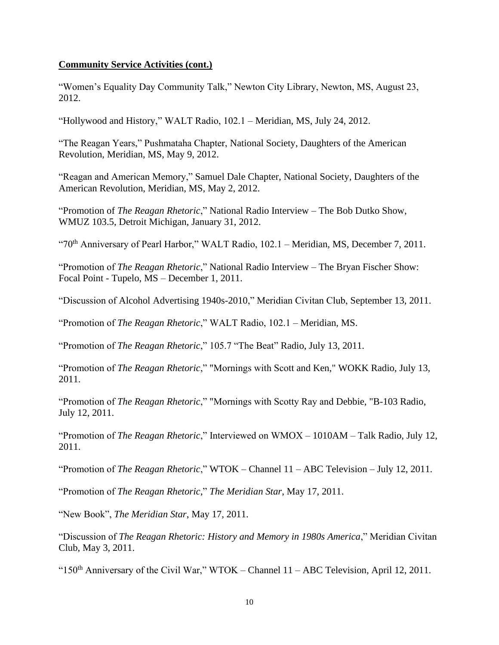"Women's Equality Day Community Talk," Newton City Library, Newton, MS, August 23, 2012.

"Hollywood and History," WALT Radio, 102.1 – Meridian, MS, July 24, 2012.

"The Reagan Years," Pushmataha Chapter, National Society, Daughters of the American Revolution, Meridian, MS, May 9, 2012.

"Reagan and American Memory," Samuel Dale Chapter, National Society, Daughters of the American Revolution, Meridian, MS, May 2, 2012.

"Promotion of *The Reagan Rhetoric*," National Radio Interview – The Bob Dutko Show, WMUZ 103.5, Detroit Michigan, January 31, 2012.

"70<sup>th</sup> Anniversary of Pearl Harbor," WALT Radio, 102.1 – Meridian, MS, December 7, 2011.

"Promotion of *The Reagan Rhetoric*," National Radio Interview – The Bryan Fischer Show: Focal Point - Tupelo, MS – December 1, 2011.

"Discussion of Alcohol Advertising 1940s-2010," Meridian Civitan Club, September 13, 2011.

"Promotion of *The Reagan Rhetoric*," WALT Radio, 102.1 – Meridian, MS.

"Promotion of *The Reagan Rhetoric*," 105.7 "The Beat" Radio, July 13, 2011.

"Promotion of *The Reagan Rhetoric*," "Mornings with Scott and Ken," WOKK Radio, July 13, 2011.

"Promotion of *The Reagan Rhetoric*," "Mornings with Scotty Ray and Debbie, "B-103 Radio, July 12, 2011.

"Promotion of *The Reagan Rhetoric*," Interviewed on WMOX – 1010AM – Talk Radio, July 12, 2011.

"Promotion of *The Reagan Rhetoric*," WTOK – Channel 11 – ABC Television – July 12, 2011.

"Promotion of *The Reagan Rhetoric*," *The Meridian Star*, May 17, 2011.

"New Book", *The Meridian Star*, May 17, 2011.

"Discussion of *The Reagan Rhetoric: History and Memory in 1980s America*," Meridian Civitan Club, May 3, 2011.

" $150<sup>th</sup>$  Anniversary of the Civil War," WTOK – Channel  $11 - ABC$  Television, April 12, 2011.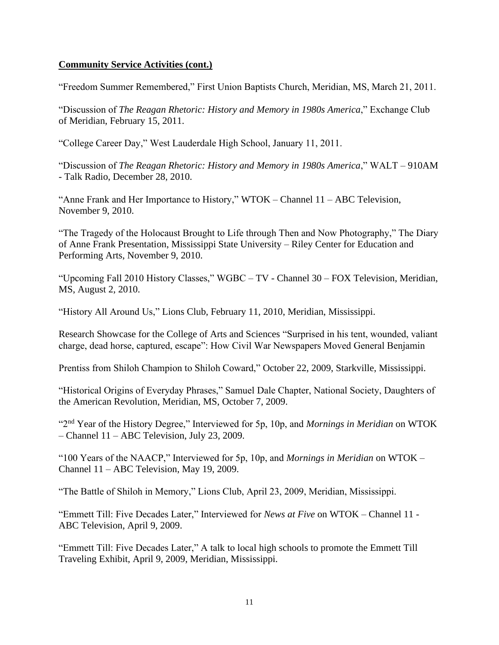"Freedom Summer Remembered," First Union Baptists Church, Meridian, MS, March 21, 2011.

"Discussion of *The Reagan Rhetoric: History and Memory in 1980s America*," Exchange Club of Meridian, February 15, 2011.

"College Career Day," West Lauderdale High School, January 11, 2011.

"Discussion of *The Reagan Rhetoric: History and Memory in 1980s America*," WALT – 910AM - Talk Radio, December 28, 2010.

"Anne Frank and Her Importance to History," WTOK – Channel 11 – ABC Television, November 9, 2010.

"The Tragedy of the Holocaust Brought to Life through Then and Now Photography," The Diary of Anne Frank Presentation, Mississippi State University – Riley Center for Education and Performing Arts, November 9, 2010.

"Upcoming Fall 2010 History Classes," WGBC – TV - Channel 30 – FOX Television, Meridian, MS, August 2, 2010.

"History All Around Us," Lions Club, February 11, 2010, Meridian, Mississippi.

Research Showcase for the College of Arts and Sciences "Surprised in his tent, wounded, valiant charge, dead horse, captured, escape": How Civil War Newspapers Moved General Benjamin

Prentiss from Shiloh Champion to Shiloh Coward," October 22, 2009, Starkville, Mississippi.

"Historical Origins of Everyday Phrases," Samuel Dale Chapter, National Society, Daughters of the American Revolution, Meridian, MS, October 7, 2009.

"2nd Year of the History Degree," Interviewed for 5p, 10p, and *Mornings in Meridian* on WTOK – Channel 11 – ABC Television, July 23, 2009.

"100 Years of the NAACP," Interviewed for 5p, 10p, and *Mornings in Meridian* on WTOK – Channel 11 – ABC Television, May 19, 2009.

"The Battle of Shiloh in Memory," Lions Club, April 23, 2009, Meridian, Mississippi.

"Emmett Till: Five Decades Later," Interviewed for *News at Five* on WTOK – Channel 11 - ABC Television, April 9, 2009.

"Emmett Till: Five Decades Later," A talk to local high schools to promote the Emmett Till Traveling Exhibit, April 9, 2009, Meridian, Mississippi.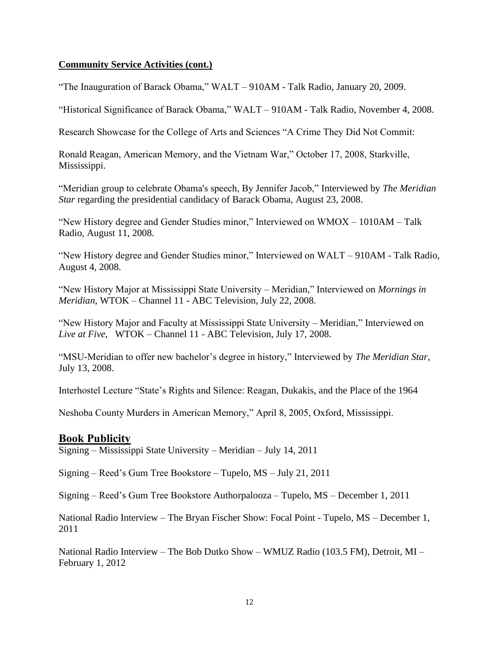"The Inauguration of Barack Obama," WALT – 910AM - Talk Radio, January 20, 2009.

"Historical Significance of Barack Obama," WALT – 910AM - Talk Radio, November 4, 2008.

Research Showcase for the College of Arts and Sciences "A Crime They Did Not Commit:

Ronald Reagan, American Memory, and the Vietnam War," October 17, 2008, Starkville, Mississippi.

"Meridian group to celebrate Obama's speech, By Jennifer Jacob," Interviewed by *The Meridian Star* regarding the presidential candidacy of Barack Obama, August 23, 2008.

"New History degree and Gender Studies minor," Interviewed on WMOX – 1010AM – Talk Radio, August 11, 2008.

"New History degree and Gender Studies minor," Interviewed on WALT – 910AM - Talk Radio, August 4, 2008.

"New History Major at Mississippi State University – Meridian," Interviewed on *Mornings in Meridian*, WTOK – Channel 11 - ABC Television, July 22, 2008.

"New History Major and Faculty at Mississippi State University – Meridian," Interviewed on *Live at Five*, WTOK – Channel 11 - ABC Television, July 17, 2008.

"MSU-Meridian to offer new bachelor's degree in history," Interviewed by *The Meridian Star*, July 13, 2008.

Interhostel Lecture "State's Rights and Silence: Reagan, Dukakis, and the Place of the 1964

Neshoba County Murders in American Memory," April 8, 2005, Oxford, Mississippi.

#### **Book Publicity**

Signing – Mississippi State University – Meridian – July 14, 2011

Signing – Reed's Gum Tree Bookstore – Tupelo, MS – July 21, 2011

Signing – Reed's Gum Tree Bookstore Authorpalooza – Tupelo, MS – December 1, 2011

National Radio Interview – The Bryan Fischer Show: Focal Point - Tupelo, MS – December 1, 2011

National Radio Interview – The Bob Dutko Show – WMUZ Radio (103.5 FM), Detroit, MI – February 1, 2012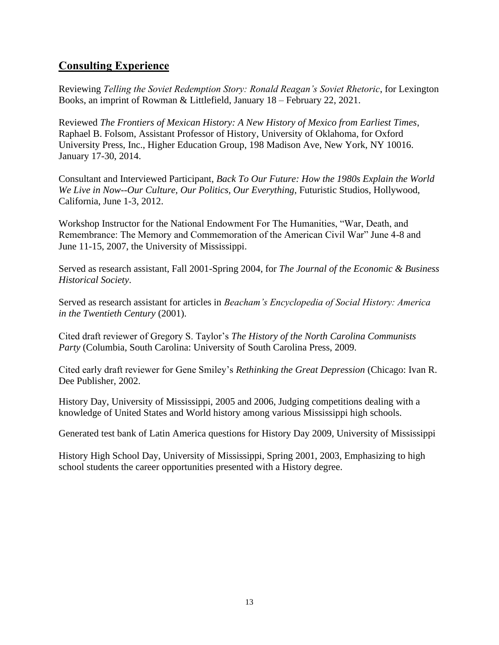# **Consulting Experience**

Reviewing *Telling the Soviet Redemption Story: Ronald Reagan's Soviet Rhetoric*, for Lexington Books, an imprint of Rowman & Littlefield, January 18 – February 22, 2021.

Reviewed *The Frontiers of Mexican History: A New History of Mexico from Earliest Times*, Raphael B. Folsom, Assistant Professor of History, University of Oklahoma, for Oxford University Press, Inc., Higher Education Group, 198 Madison Ave, New York, NY 10016. January 17-30, 2014.

Consultant and Interviewed Participant, *Back To Our Future: How the 1980s Explain the World We Live in Now--Our Culture, Our Politics, Our Everything*, Futuristic Studios, Hollywood, California, June 1-3, 2012.

Workshop Instructor for the National Endowment For The Humanities, "War, Death, and Remembrance: The Memory and Commemoration of the American Civil War" June 4-8 and June 11-15, 2007, the University of Mississippi.

Served as research assistant, Fall 2001-Spring 2004, for *The Journal of the Economic & Business Historical Society*.

Served as research assistant for articles in *Beacham's Encyclopedia of Social History: America in the Twentieth Century* (2001).

Cited draft reviewer of Gregory S. Taylor's *The History of the North Carolina Communists Party* (Columbia, South Carolina: University of South Carolina Press, 2009.

Cited early draft reviewer for Gene Smiley's *Rethinking the Great Depression* (Chicago: Ivan R. Dee Publisher, 2002.

History Day, University of Mississippi, 2005 and 2006, Judging competitions dealing with a knowledge of United States and World history among various Mississippi high schools.

Generated test bank of Latin America questions for History Day 2009, University of Mississippi

History High School Day, University of Mississippi, Spring 2001, 2003, Emphasizing to high school students the career opportunities presented with a History degree.